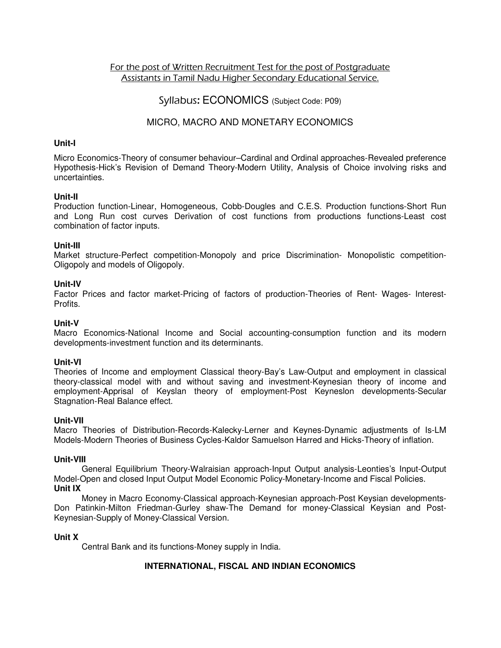## For the post of Written Recruitment Test for the post of Postgraduate Assistants in Tamil Nadu Higher Secondary Educational Service.

# Syllabus: ECONOMICS (Subject Code: P09)

# MICRO, MACRO AND MONETARY ECONOMICS

### **Unit-I**

Micro Economics-Theory of consumer behaviour–Cardinal and Ordinal approaches-Revealed preference Hypothesis-Hick's Revision of Demand Theory-Modern Utility, Analysis of Choice involving risks and uncertainties.

## **Unit-II**

Production function-Linear, Homogeneous, Cobb-Dougles and C.E.S. Production functions-Short Run and Long Run cost curves Derivation of cost functions from productions functions-Least cost combination of factor inputs.

## **Unit-III**

Market structure-Perfect competition-Monopoly and price Discrimination- Monopolistic competition-Oligopoly and models of Oligopoly.

## **Unit-IV**

Factor Prices and factor market-Pricing of factors of production-Theories of Rent- Wages- Interest-Profits.

## **Unit-V**

Macro Economics-National Income and Social accounting-consumption function and its modern developments-investment function and its determinants.

### **Unit-VI**

Theories of Income and employment Classical theory-Bay's Law-Output and employment in classical theory-classical model with and without saving and investment-Keynesian theory of income and employment-Apprisal of Keyslan theory of employment-Post Keyneslon developments-Secular Stagnation-Real Balance effect.

### **Unit-VII**

Macro Theories of Distribution-Records-Kalecky-Lerner and Keynes-Dynamic adjustments of Is-LM Models-Modern Theories of Business Cycles-Kaldor Samuelson Harred and Hicks-Theory of inflation.

### **Unit-VIII**

General Equilibrium Theory-Walraisian approach-Input Output analysis-Leonties's Input-Output Model-Open and closed Input Output Model Economic Policy-Monetary-Income and Fiscal Policies. **Unit IX** 

Money in Macro Economy-Classical approach-Keynesian approach-Post Keysian developments-Don Patinkin-Milton Friedman-Gurley shaw-The Demand for money-Classical Keysian and Post-Keynesian-Supply of Money-Classical Version.

# **Unit X**

Central Bank and its functions-Money supply in India.

# **INTERNATIONAL, FISCAL AND INDIAN ECONOMICS**